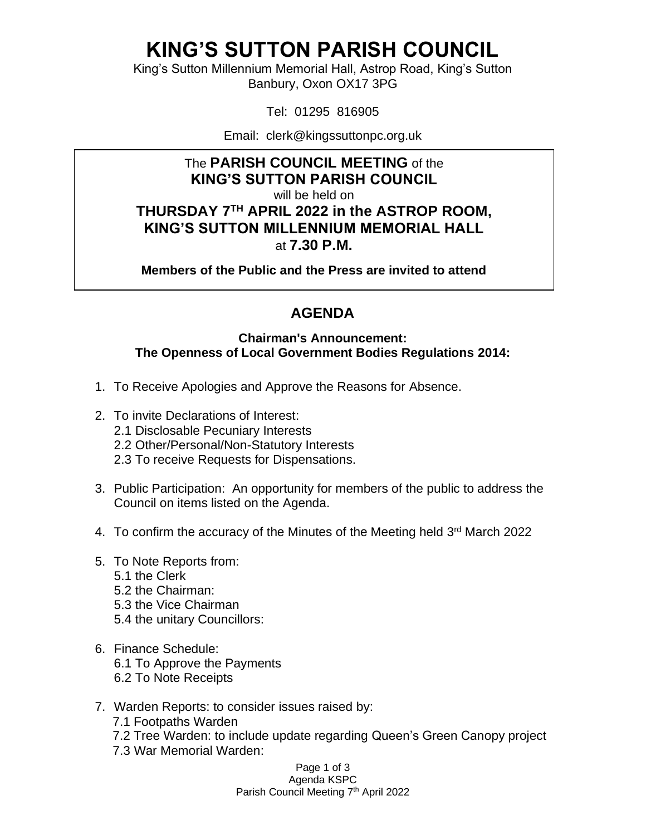## **KING'S SUTTON PARISH COUNCIL**

King's Sutton Millennium Memorial Hall, Astrop Road, King's Sutton Banbury, Oxon OX17 3PG

Tel: 01295 816905

Email: clerk@kingssuttonpc.org.uk

### The **PARISH COUNCIL MEETING** of the **KING'S SUTTON PARISH COUNCIL**

will be held on

### **THURSDAY 7 TH APRIL 2022 in the ASTROP ROOM, KING'S SUTTON MILLENNIUM MEMORIAL HALL** at **7.30 P.M.**

**Members of the Public and the Press are invited to attend** 

### **AGENDA**

#### **Chairman's Announcement: The Openness of Local Government Bodies Regulations 2014:**

- 1. To Receive Apologies and Approve the Reasons for Absence.
- 2. To invite Declarations of Interest:
	- 2.1 Disclosable Pecuniary Interests
	- 2.2 Other/Personal/Non-Statutory Interests
	- 2.3 To receive Requests for Dispensations.
- 3. Public Participation: An opportunity for members of the public to address the Council on items listed on the Agenda.
- 4. To confirm the accuracy of the Minutes of the Meeting held 3<sup>rd</sup> March 2022
- 5. To Note Reports from:
	- 5.1 the Clerk
	- 5.2 the Chairman:
	- 5.3 the Vice Chairman
	- 5.4 the unitary Councillors:
- 6. Finance Schedule: 6.1 To Approve the Payments 6.2 To Note Receipts
- 7. Warden Reports: to consider issues raised by:
	- 7.1 Footpaths Warden
	- 7.2 Tree Warden: to include update regarding Queen's Green Canopy project
	- 7.3 War Memorial Warden:

Page 1 of 3 Agenda KSPC

#### Parish Council Meeting 7<sup>th</sup> April 2022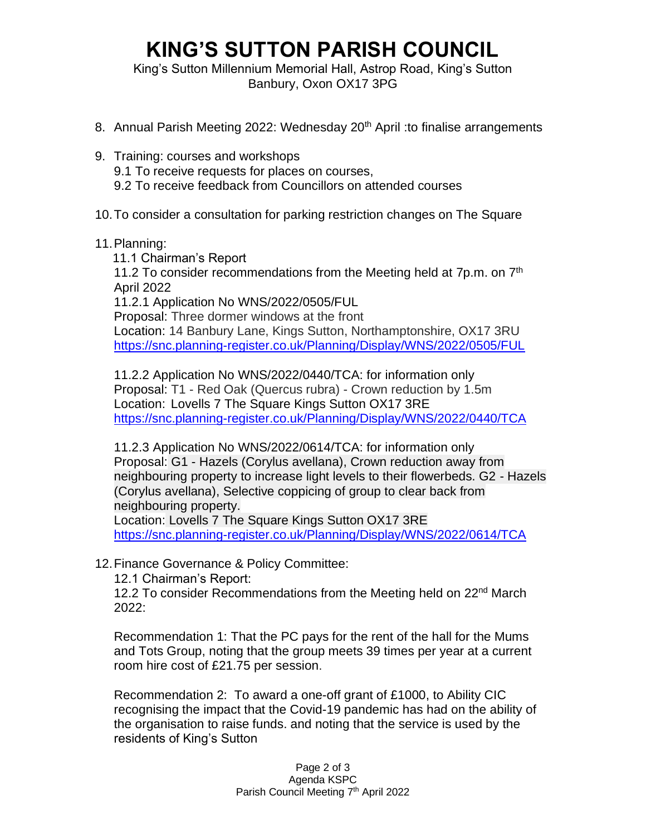# **KING'S SUTTON PARISH COUNCIL**

King's Sutton Millennium Memorial Hall, Astrop Road, King's Sutton Banbury, Oxon OX17 3PG

- 8. Annual Parish Meeting 2022: Wednesday 20<sup>th</sup> April : to finalise arrangements
- 9. Training: courses and workshops 9.1 To receive requests for places on courses, 9.2 To receive feedback from Councillors on attended courses
- 10.To consider a consultation for parking restriction changes on The Square
- 11.Planning:
	- 11.1 Chairman's Report

11.2 To consider recommendations from the Meeting held at  $7p.m.$  on  $7<sup>th</sup>$ April 2022

11.2.1 Application No WNS/2022/0505/FUL

Proposal: Three dormer windows at the front

Location: 14 Banbury Lane, Kings Sutton, Northamptonshire, OX17 3RU <https://snc.planning-register.co.uk/Planning/Display/WNS/2022/0505/FUL>

11.2.2 Application No WNS/2022/0440/TCA: for information only Proposal: T1 - Red Oak (Quercus rubra) - Crown reduction by 1.5m Location: Lovells 7 The Square Kings Sutton OX17 3RE <https://snc.planning-register.co.uk/Planning/Display/WNS/2022/0440/TCA>

11.2.3 Application No WNS/2022/0614/TCA: for information only Proposal: G1 - Hazels (Corylus avellana), Crown reduction away from neighbouring property to increase light levels to their flowerbeds. G2 - Hazels (Corylus avellana), Selective coppicing of group to clear back from neighbouring property.

Location: Lovells 7 The Square Kings Sutton OX17 3RE <https://snc.planning-register.co.uk/Planning/Display/WNS/2022/0614/TCA>

12.Finance Governance & Policy Committee:

12.1 Chairman's Report:

12.2 To consider Recommendations from the Meeting held on 22<sup>nd</sup> March 2022:

Recommendation 1: That the PC pays for the rent of the hall for the Mums and Tots Group, noting that the group meets 39 times per year at a current room hire cost of £21.75 per session.

Recommendation 2: To award a one-off grant of £1000, to Ability CIC recognising the impact that the Covid-19 pandemic has had on the ability of the organisation to raise funds. and noting that the service is used by the residents of King's Sutton